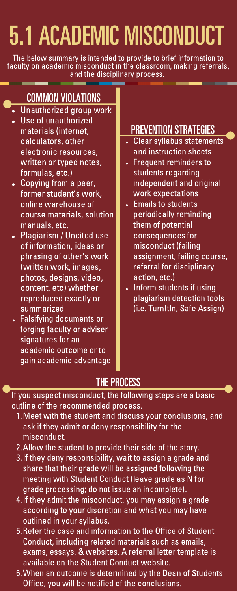# 5.1 ACADEMIC MISCONDUCT

The below summary is intended to provide to brief information to faculty on academic misconduct in the classroom, making referrals, and the disciplinary process. an an

# COMMON VIOLATIONS

- Unauthorized group work
- Use of unauthorized materials (internet, calculators, other electronic resources, written or typed notes, formulas, etc.)
- Copying from a peer, former student's work, online warehouse of course materials, solution manuals, etc.
- Plagiarism / Uncited use of information, ideas or phrasing of other's work (written work, images, photos, designs, video, content, etc) whether reproduced exactly or summarized
- Falsifying documents or forging faculty or adviser signatures for an academic outcome or to gain academic advantage

### PREVENTION STRATEGIES

- Clear syllabus statements and instruction sheets
- Frequent reminders to students regarding independent and original work expectations
- Emails to students periodically reminding them of potential consequences for misconduct (failing assignment, failing course, referral for disciplinary action, etc.)
- Inform students if using plagiarism detection tools (i.e. TurnItIn, Safe Assign)

# **THE PROCESS**

If you suspect misconduct, the following steps are a basic outline of the recommended process.

- Meet with the student and discuss your conclusions, and 1. ask if they admit or deny responsibility for the misconduct.
- 2. Allow the student to provide their side of the story.
- If they deny responsibility, wait to assign a grade and 3. share that their grade will be assigned following the meeting with Student Conduct (leave grade as N for grade processing; do not issue an incomplete).
- 4. If they admit the misconduct, you may assign a grade according to your discretion and what you may have outlined in your syllabus.
- 5. Refer the case and information to the Office of Student Conduct, including related materials such as emails, exams, essays, & websites. A referral letter template is available on the Student Conduct website.
- When an outcome is determined by the Dean of Students 6. Office, you will be notified of the conclusions.